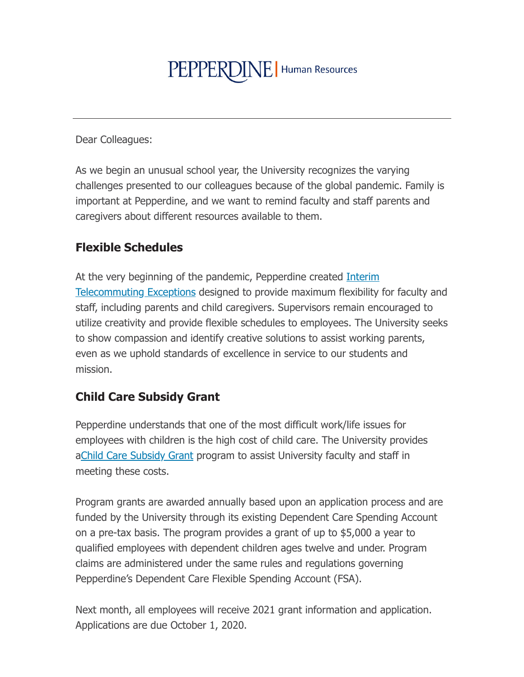# PEPPERDINE | Human Resources

**Dear Colleagues:** 

As we begin an unusual school year, the University recognizes the varying challenges presented to our colleagues because of the global pandemic. Family is important at Pepperdine, and we want to remind faculty and staff parents and caregivers about different resources available to them.

#### **Flexible Schedules**

At the very beginning of the pandemic, Pepperdine created *Interim* Telecommuting Exceptions designed to provide maximum flexibility for faculty and staff, including parents and child caregivers. Supervisors remain encouraged to utilize creativity and provide flexible schedules to employees. The University seeks to show compassion and identify creative solutions to assist working parents, even as we uphold standards of excellence in service to our students and mission.

#### **Child Care Subsidy Grant**

Pepperdine understands that one of the most difficult work/life issues for employees with children is the high cost of child care. The University provides aChild Care Subsidy Grant program to assist University faculty and staff in meeting these costs.

Program grants are awarded annually based upon an application process and are funded by the University through its existing Dependent Care Spending Account on a pre-tax basis. The program provides a grant of up to \$5,000 a year to qualified employees with dependent children ages twelve and under. Program claims are administered under the same rules and regulations governing Pepperdine's Dependent Care Flexible Spending Account (FSA).

Next month, all employees will receive 2021 grant information and application. Applications are due October 1, 2020.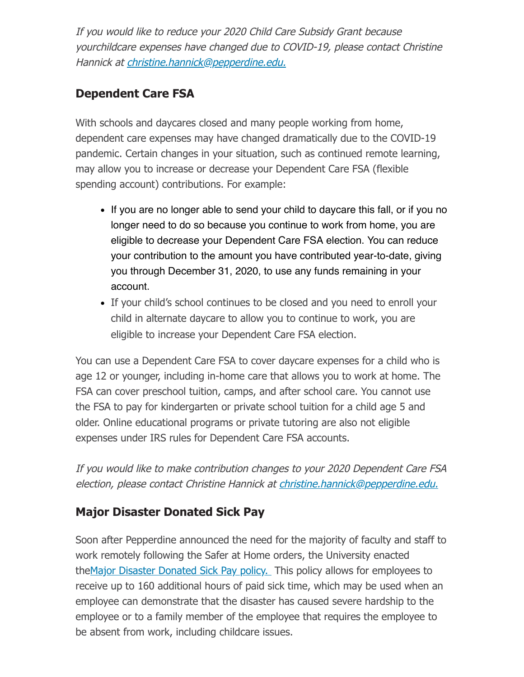If you would like to reduce your 2020 Child Care Subsidy Grant because yourchildcare expenses have changed due to COVID-19, please contact Christine Hannick at christine.hannick@pepperdine.edu.

## **Dependent Care FSA**

With schools and daycares closed and many people working from home, dependent care expenses may have changed dramatically due to the COVID-19 pandemic. Certain changes in your situation, such as continued remote learning, may allow you to increase or decrease your Dependent Care FSA (flexible spending account) contributions. For example:

- If you are no longer able to send your child to daycare this fall, or if you no longer need to do so because you continue to work from home, you are eligible to decrease your Dependent Care FSA election. You can reduce your contribution to the amount you have contributed year-to-date, giving you through December 31, 2020, to use any funds remaining in your account.
- If your child's school continues to be closed and you need to enroll your child in alternate daycare to allow you to continue to work, you are eligible to increase your Dependent Care FSA election.

You can use a Dependent Care FSA to cover daycare expenses for a child who is age 12 or younger, including in-home care that allows you to work at home. The FSA can cover preschool tuition, camps, and after school care. You cannot use the FSA to pay for kindergarten or private school tuition for a child age 5 and older. Online educational programs or private tutoring are also not eligible expenses under IRS rules for Dependent Care FSA accounts.

If you would like to make contribution changes to your 2020 Dependent Care FSA election, please contact Christine Hannick at christine.hannick@pepperdine.edu.

## **Major Disaster Donated Sick Pay**

Soon after Pepperdine announced the need for the majority of faculty and staff to work remotely following the Safer at Home orders, the University enacted the Major Disaster Donated Sick Pay policy. This policy allows for employees to receive up to 160 additional hours of paid sick time, which may be used when an employee can demonstrate that the disaster has caused severe hardship to the employee or to a family member of the employee that requires the employee to be absent from work, including childcare issues.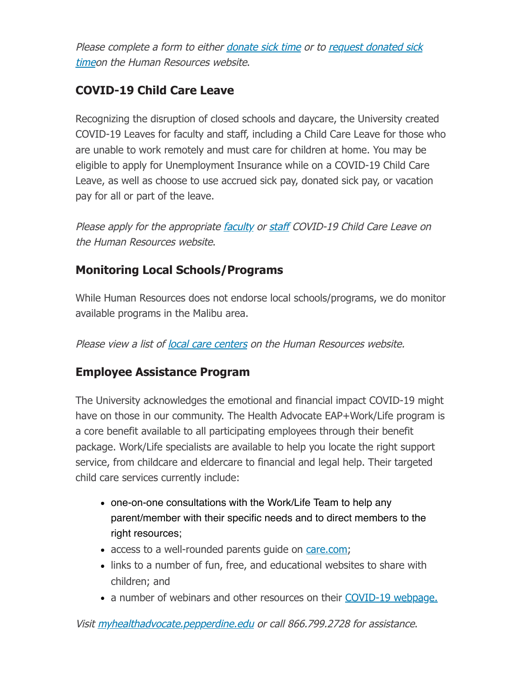Please complete a form to either donate sick time or to request donated sick timeon the Human Resources website.

## **COVID-19 Child Care Leave**

Recognizing the disruption of closed schools and daycare, the University created COVID-19 Leaves for faculty and staff, including a Child Care Leave for those who are unable to work remotely and must care for children at home. You may be eligible to apply for Unemployment Insurance while on a COVID-19 Child Care Leave, as well as choose to use accrued sick pay, donated sick pay, or vacation pay for all or part of the leave.

Please apply for the appropriate faculty or staff COVID-19 Child Care Leave on the Human Resources website.

#### **Monitoring Local Schools/Programs**

While Human Resources does not endorse local schools/programs, we do monitor available programs in the Malibu area.

Please view a list of local care centers on the Human Resources website.

#### **Employee Assistance Program**

The University acknowledges the emotional and financial impact COVID-19 might have on those in our community. The Health Advocate EAP+Work/Life program is a core benefit available to all participating employees through their benefit package. Work/Life specialists are available to help you locate the right support service, from childcare and eldercare to financial and legal help. Their targeted child care services currently include:

- one-on-one consultations with the Work/Life Team to help any parent/member with their specific needs and to direct members to the right resources;
- access to a well-rounded parents guide on care.com;
- links to a number of fun, free, and educational websites to share with children; and
- a number of webinars and other resources on their COVID-19 webpage.

Visit myhealthadvocate.pepperdine.edu or call 866.799.2728 for assistance.